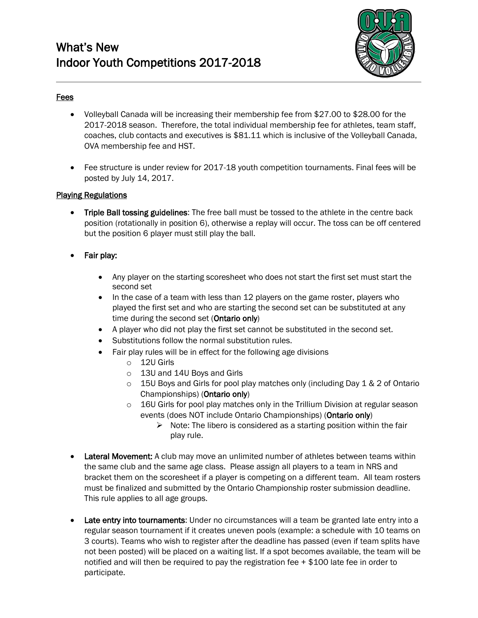

# Fees

- Volleyball Canada will be increasing their membership fee from \$27.00 to \$28.00 for the 2017-2018 season. Therefore, the total individual membership fee for athletes, team staff, coaches, club contacts and executives is \$81.11 which is inclusive of the Volleyball Canada, OVA membership fee and HST.
- Fee structure is under review for 2017-18 youth competition tournaments. Final fees will be posted by July 14, 2017.

## Playing Regulations

- Triple Ball tossing guidelines: The free ball must be tossed to the athlete in the centre back position (rotationally in position 6), otherwise a replay will occur. The toss can be off centered but the position 6 player must still play the ball.
- Fair play:
	- Any player on the starting scoresheet who does not start the first set must start the second set
	- In the case of a team with less than 12 players on the game roster, players who played the first set and who are starting the second set can be substituted at any time during the second set (Ontario only)
	- A player who did not play the first set cannot be substituted in the second set.
	- Substitutions follow the normal substitution rules.
	- Fair play rules will be in effect for the following age divisions
		- o 12U Girls
		- o 13U and 14U Boys and Girls
		- $\circ$  15U Boys and Girls for pool play matches only (including Day 1 & 2 of Ontario Championships) (Ontario only)
		- $\circ$  16U Girls for pool play matches only in the Trillium Division at regular season events (does NOT include Ontario Championships) (Ontario only)
			- $\triangleright$  Note: The libero is considered as a starting position within the fair play rule.
- Lateral Movement: A club may move an unlimited number of athletes between teams within the same club and the same age class. Please assign all players to a team in NRS and bracket them on the scoresheet if a player is competing on a different team. All team rosters must be finalized and submitted by the Ontario Championship roster submission deadline. This rule applies to all age groups.
- Late entry into tournaments: Under no circumstances will a team be granted late entry into a regular season tournament if it creates uneven pools (example: a schedule with 10 teams on 3 courts). Teams who wish to register after the deadline has passed (even if team splits have not been posted) will be placed on a waiting list. If a spot becomes available, the team will be notified and will then be required to pay the registration fee + \$100 late fee in order to participate.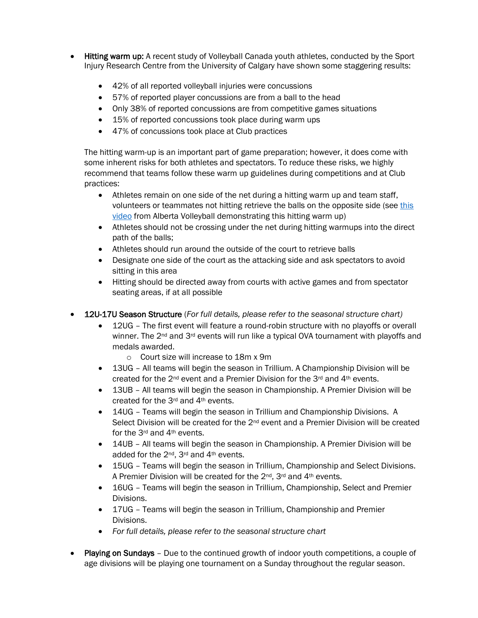- Hitting warm up: A recent study of Volleyball Canada youth athletes, conducted by the Sport Injury Research Centre from the University of Calgary have shown some staggering results:
	- 42% of all reported volleyball injuries were concussions
	- 57% of reported player concussions are from a ball to the head
	- Only 38% of reported concussions are from competitive games situations
	- 15% of reported concussions took place during warm ups
	- 47% of concussions took place at Club practices

The hitting warm-up is an important part of game preparation; however, it does come with some inherent risks for both athletes and spectators. To reduce these risks, we highly recommend that teams follow these warm up guidelines during competitions and at Club practices:

- Athletes remain on one side of the net during a hitting warm up and team staff, volunteers or teammates not hitting retrieve the balls on the opposite side (se[e this](https://www.youtube.com/watch?v=7Muk3hxjXaQ&feature=youtu.be)  [video](https://www.youtube.com/watch?v=7Muk3hxjXaQ&feature=youtu.be) from Alberta Volleyball demonstrating this hitting warm up)
- Athletes should not be crossing under the net during hitting warmups into the direct path of the balls;
- Athletes should run around the outside of the court to retrieve balls
- Designate one side of the court as the attacking side and ask spectators to avoid sitting in this area
- Hitting should be directed away from courts with active games and from spectator seating areas, if at all possible
- 12U-17U Season Structure (*For full details, please refer to the seasonal structure chart)*
	- 12UG The first event will feature a round-robin structure with no playoffs or overall winner. The  $2^{nd}$  and  $3^{rd}$  events will run like a typical OVA tournament with playoffs and medals awarded.
		- o Court size will increase to 18m x 9m
	- 13UG All teams will begin the season in Trillium. A Championship Division will be created for the  $2<sup>nd</sup>$  event and a Premier Division for the  $3<sup>rd</sup>$  and  $4<sup>th</sup>$  events.
	- 13UB All teams will begin the season in Championship. A Premier Division will be created for the 3rd and 4th events.
	- 14UG Teams will begin the season in Trillium and Championship Divisions. A Select Division will be created for the 2<sup>nd</sup> event and a Premier Division will be created for the 3rd and 4th events.
	- 14UB All teams will begin the season in Championship. A Premier Division will be added for the 2nd, 3rd and 4th events.
	- 15UG Teams will begin the season in Trillium, Championship and Select Divisions. A Premier Division will be created for the 2<sup>nd</sup>, 3<sup>rd</sup> and 4<sup>th</sup> events.
	- 16UG Teams will begin the season in Trillium, Championship, Select and Premier Divisions.
	- 17UG Teams will begin the season in Trillium, Championship and Premier Divisions.
	- *For full details, please refer to the seasonal structure chart*
- Playing on Sundays Due to the continued growth of indoor youth competitions, a couple of age divisions will be playing one tournament on a Sunday throughout the regular season.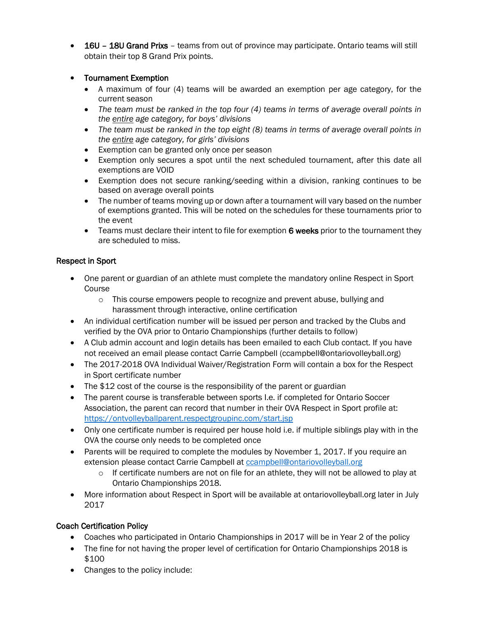• 16U – 18U Grand Prixs – teams from out of province may participate. Ontario teams will still obtain their top 8 Grand Prix points.

## • Tournament Exemption

- A maximum of four (4) teams will be awarded an exemption per age category, for the current season
- *The team must be ranked in the top four (4) teams in terms of average overall points in the entire age category, for boys' divisions*
- *The team must be ranked in the top eight (8) teams in terms of average overall points in the entire age category, for girls' divisions*
- Exemption can be granted only once per season
- Exemption only secures a spot until the next scheduled tournament, after this date all exemptions are VOID
- Exemption does not secure ranking/seeding within a division, ranking continues to be based on average overall points
- The number of teams moving up or down after a tournament will vary based on the number of exemptions granted. This will be noted on the schedules for these tournaments prior to the event
- Teams must declare their intent to file for exemption 6 weeks prior to the tournament they are scheduled to miss.

## Respect in Sport

- One parent or guardian of an athlete must complete the mandatory online Respect in Sport Course
	- $\circ$  This course empowers people to recognize and prevent abuse, bullying and harassment through interactive, online certification
- An individual certification number will be issued per person and tracked by the Clubs and verified by the OVA prior to Ontario Championships (further details to follow)
- A Club admin account and login details has been emailed to each Club contact. If you have not received an email please contact Carrie Campbell (ccampbell@ontariovolleyball.org)
- The 2017-2018 OVA Individual Waiver/Registration Form will contain a box for the Respect in Sport certificate number
- The \$12 cost of the course is the responsibility of the parent or guardian
- The parent course is transferable between sports I.e. if completed for Ontario Soccer Association, the parent can record that number in their OVA Respect in Sport profile at: <https://ontvolleyballparent.respectgroupinc.com/start.jsp>
- Only one certificate number is required per house hold i.e. if multiple siblings play with in the OVA the course only needs to be completed once
- Parents will be required to complete the modules by November 1, 2017. If you require an extension please contact Carrie Campbell at [ccampbell@ontariovolleyball.org](mailto:ccampbell@ontariovolleyball.org)
	- o If certificate numbers are not on file for an athlete, they will not be allowed to play at Ontario Championships 2018.
- More information about Respect in Sport will be available at ontariovolleyball.org later in July 2017

# Coach Certification Policy

- Coaches who participated in Ontario Championships in 2017 will be in Year 2 of the policy
- The fine for not having the proper level of certification for Ontario Championships 2018 is \$100
- Changes to the policy include: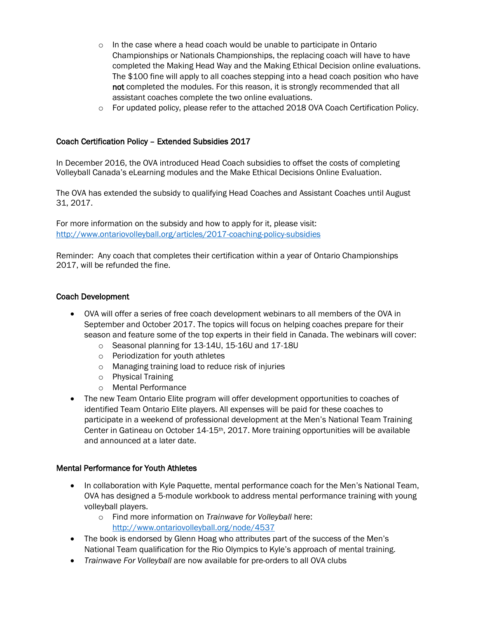- $\circ$  In the case where a head coach would be unable to participate in Ontario Championships or Nationals Championships, the replacing coach will have to have completed the Making Head Way and the Making Ethical Decision online evaluations. The \$100 fine will apply to all coaches stepping into a head coach position who have not completed the modules. For this reason, it is strongly recommended that all assistant coaches complete the two online evaluations.
- o For updated policy, please refer to the attached 2018 OVA Coach Certification Policy.

## Coach Certification Policy – Extended Subsidies 2017

In December 2016, the OVA introduced Head Coach subsidies to offset the costs of completing Volleyball Canada's eLearning modules and the Make Ethical Decisions Online Evaluation.

The OVA has extended the subsidy to qualifying Head Coaches and Assistant Coaches until August 31, 2017.

For more information on the subsidy and how to apply for it, please visit: <http://www.ontariovolleyball.org/articles/2017-coaching-policy-subsidies>

Reminder: Any coach that completes their certification within a year of Ontario Championships 2017, will be refunded the fine.

#### Coach Development

- OVA will offer a series of free coach development webinars to all members of the OVA in September and October 2017. The topics will focus on helping coaches prepare for their season and feature some of the top experts in their field in Canada. The webinars will cover:
	- o Seasonal planning for 13-14U, 15-16U and 17-18U
	- o Periodization for youth athletes
	- o Managing training load to reduce risk of injuries
	- o Physical Training
	- o Mental Performance
- The new Team Ontario Elite program will offer development opportunities to coaches of identified Team Ontario Elite players. All expenses will be paid for these coaches to participate in a weekend of professional development at the Men's National Team Training Center in Gatineau on October 14-15th, 2017. More training opportunities will be available and announced at a later date.

#### Mental Performance for Youth Athletes

- In collaboration with Kyle Paquette, mental performance coach for the Men's National Team, OVA has designed a 5-module workbook to address mental performance training with young volleyball players.
	- o Find more information on *Trainwave for Volleyball* here: <http://www.ontariovolleyball.org/node/4537>
- The book is endorsed by Glenn Hoag who attributes part of the success of the Men's National Team qualification for the Rio Olympics to Kyle's approach of mental training.
- *Trainwave For Volleyball are now available for pre-orders to all OVA clubs*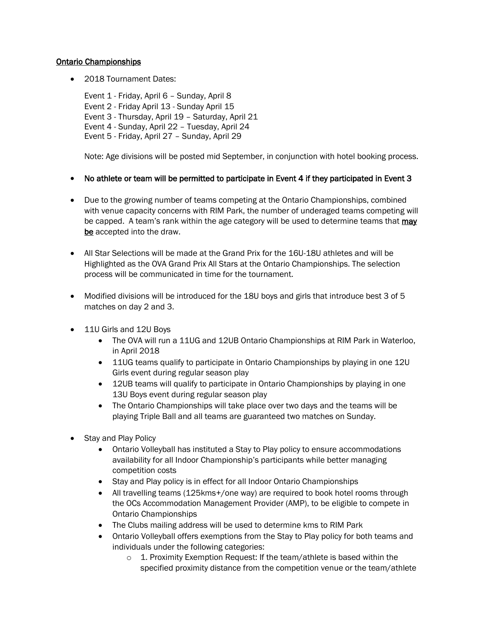## Ontario Championships

• 2018 Tournament Dates:

Event 1 - Friday, April 6 – Sunday, April 8 Event 2 - Friday April 13 - Sunday April 15 Event 3 - Thursday, April 19 – Saturday, April 21 Event 4 - Sunday, April 22 – Tuesday, April 24 Event 5 - Friday, April 27 – Sunday, April 29

Note: Age divisions will be posted mid September, in conjunction with hotel booking process.

- No athlete or team will be permitted to participate in Event 4 if they participated in Event 3
- Due to the growing number of teams competing at the Ontario Championships, combined with venue capacity concerns with RIM Park, the number of underaged teams competing will be capped. A team's rank within the age category will be used to determine teams that **may** be accepted into the draw.
- All Star Selections will be made at the Grand Prix for the 16U-18U athletes and will be Highlighted as the OVA Grand Prix All Stars at the Ontario Championships. The selection process will be communicated in time for the tournament.
- Modified divisions will be introduced for the 18U boys and girls that introduce best 3 of 5 matches on day 2 and 3.
- 11U Girls and 12U Boys
	- The OVA will run a 11UG and 12UB Ontario Championships at RIM Park in Waterloo, in April 2018
	- 11UG teams qualify to participate in Ontario Championships by playing in one 12U Girls event during regular season play
	- 12UB teams will qualify to participate in Ontario Championships by playing in one 13U Boys event during regular season play
	- The Ontario Championships will take place over two days and the teams will be playing Triple Ball and all teams are guaranteed two matches on Sunday.
- Stay and Play Policy
	- Ontario Volleyball has instituted a Stay to Play policy to ensure accommodations availability for all Indoor Championship's participants while better managing competition costs
	- Stay and Play policy is in effect for all Indoor Ontario Championships
	- All travelling teams (125kms+/one way) are required to book hotel rooms through the OCs Accommodation Management Provider (AMP), to be eligible to compete in Ontario Championships
	- The Clubs mailing address will be used to determine kms to RIM Park
	- Ontario Volleyball offers exemptions from the Stay to Play policy for both teams and individuals under the following categories:
		- o 1. Proximity Exemption Request: If the team/athlete is based within the specified proximity distance from the competition venue or the team/athlete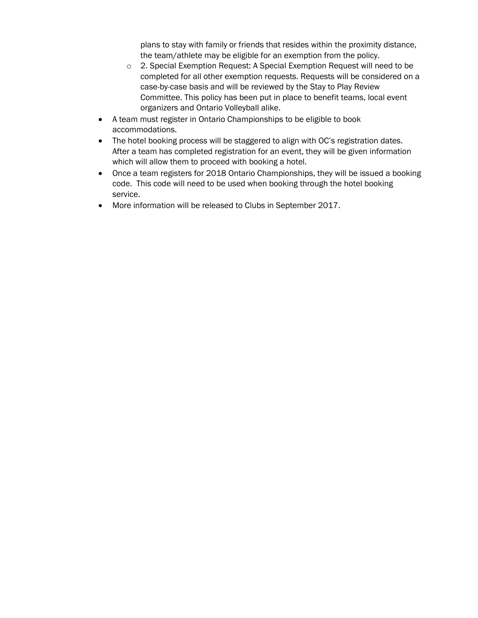plans to stay with family or friends that resides within the proximity distance, the team/athlete may be eligible for an exemption from the policy.

- o 2. Special Exemption Request: A Special Exemption Request will need to be completed for all other exemption requests. Requests will be considered on a case-by-case basis and will be reviewed by the Stay to Play Review Committee. This policy has been put in place to benefit teams, local event organizers and Ontario Volleyball alike.
- A team must register in Ontario Championships to be eligible to book accommodations.
- The hotel booking process will be staggered to align with OC's registration dates. After a team has completed registration for an event, they will be given information which will allow them to proceed with booking a hotel.
- Once a team registers for 2018 Ontario Championships, they will be issued a booking code. This code will need to be used when booking through the hotel booking service.
- More information will be released to Clubs in September 2017.